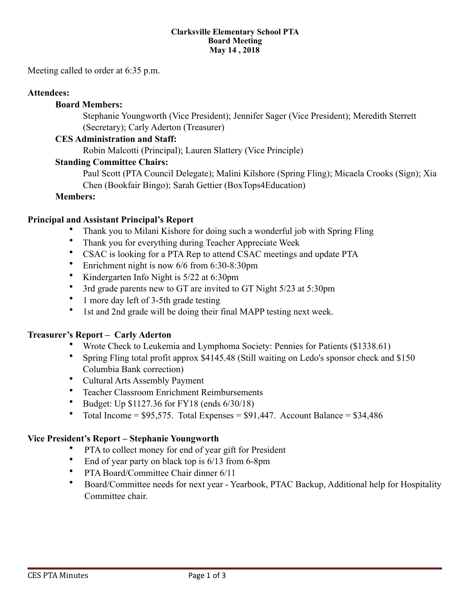#### **Clarksville Elementary School PTA Board Meeting May 14 , 2018**

Meeting called to order at 6:35 p.m.

### **Attendees:**

### **Board Members:**

 Stephanie Youngworth (Vice President); Jennifer Sager (Vice President); Meredith Sterrett (Secretary); Carly Aderton (Treasurer)

### **CES Administration and Staff:**

Robin Malcotti (Principal); Lauren Slattery (Vice Principle)

### **Standing Committee Chairs:**

Paul Scott (PTA Council Delegate); Malini Kilshore (Spring Fling); Micaela Crooks (Sign); Xia Chen (Bookfair Bingo); Sarah Gettier (BoxTops4Education)

## **Members:**

### **Principal and Assistant Principal's Report**

- Thank you to Milani Kishore for doing such a wonderful job with Spring Fling
- Thank you for everything during Teacher Appreciate Week
- CSAC is looking for a PTA Rep to attend CSAC meetings and update PTA
- Enrichment night is now 6/6 from 6:30-8:30pm
- Kindergarten Info Night is 5/22 at 6:30pm
- 3rd grade parents new to GT are invited to GT Night 5/23 at 5:30pm
- 1 more day left of 3-5th grade testing
- 1st and 2nd grade will be doing their final MAPP testing next week.

### **Treasurer's Report – Carly Aderton**

- Wrote Check to Leukemia and Lymphoma Society: Pennies for Patients (\$1338.61)
- Spring Fling total profit approx \$4145.48 (Still waiting on Ledo's sponsor check and \$150 Columbia Bank correction)
- Cultural Arts Assembly Payment
- Teacher Classroom Enrichment Reimbursements
- Budget: Up \$1127.36 for FY18 (ends 6/30/18)
- Total Income =  $$95,575$ . Total Expenses =  $$91,447$ . Account Balance =  $$34,486$

### **Vice President's Report – Stephanie Youngworth**

- PTA to collect money for end of year gift for President
- End of year party on black top is  $6/13$  from 6-8pm
- PTA Board/Committee Chair dinner 6/11
- Board/Committee needs for next year Yearbook, PTAC Backup, Additional help for Hospitality Committee chair.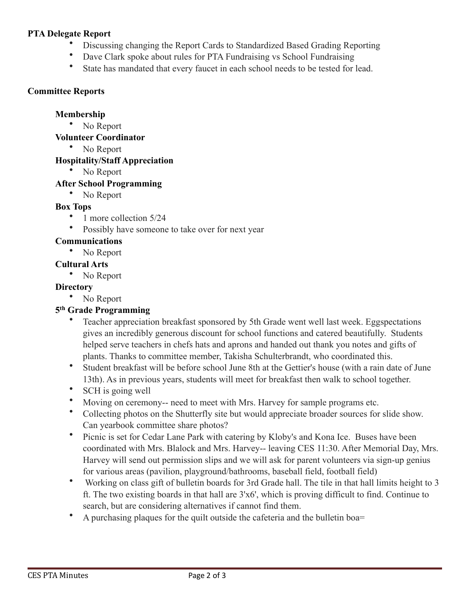## **PTA Delegate Report**

- Discussing changing the Report Cards to Standardized Based Grading Reporting
- Dave Clark spoke about rules for PTA Fundraising vs School Fundraising
- State has mandated that every faucet in each school needs to be tested for lead.

## **Committee Reports**

### **Membership**

• No Report

## **Volunteer Coordinator**

• No Report

# **Hospitality/Staff Appreciation**

• No Report

# **After School Programming**

• No Report

# **Box Tops**

- 1 more collection 5/24
- Possibly have someone to take over for next year

# **Communications**

• No Report

# **Cultural Arts**

No Report

# **Directory**

• No Report

# **5th Grade Programming**

- Teacher appreciation breakfast sponsored by 5th Grade went well last week. Eggspectations gives an incredibly generous discount for school functions and catered beautifully. Students helped serve teachers in chefs hats and aprons and handed out thank you notes and gifts of plants. Thanks to committee member, Takisha Schulterbrandt, who coordinated this.
- Student breakfast will be before school June 8th at the Gettier's house (with a rain date of June 13th). As in previous years, students will meet for breakfast then walk to school together.
- SCH is going well
- Moving on ceremony-- need to meet with Mrs. Harvey for sample programs etc.
- Collecting photos on the Shutterfly site but would appreciate broader sources for slide show. Can yearbook committee share photos?
- Picnic is set for Cedar Lane Park with catering by Kloby's and Kona Ice. Buses have been coordinated with Mrs. Blalock and Mrs. Harvey-- leaving CES 11:30. After Memorial Day, Mrs. Harvey will send out permission slips and we will ask for parent volunteers via sign-up genius for various areas (pavilion, playground/bathrooms, baseball field, football field)
- Working on class gift of bulletin boards for 3rd Grade hall. The tile in that hall limits height to 3 ft. The two existing boards in that hall are 3'x6', which is proving difficult to find. Continue to search, but are considering alternatives if cannot find them.
- A purchasing plaques for the quilt outside the cafeteria and the bulletin boa=